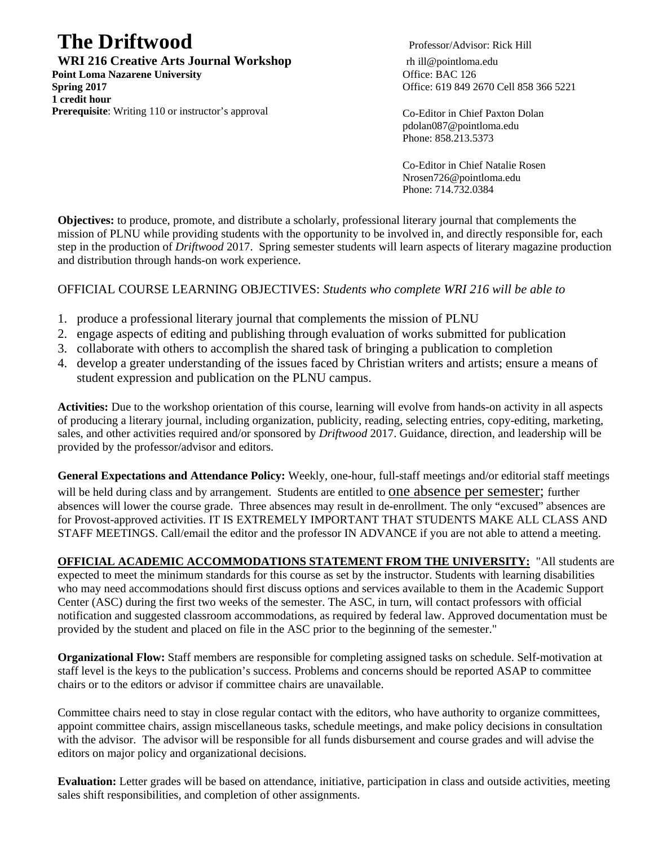# **The Driftwood** Professor/Advisor: Rick Hill

**WRI 216 Creative Arts Journal Workshop** rhill@pointloma.edu **Point Loma Nazarene University Community Community Community Community Community Community Community Community Spring 2017 Office: 619 849 2670 Cell 858 366 5221 1 credit hour Prerequisite**: Writing 110 or instructor's approval Co-Editor in Chief Paxton Dolan

pdolan087@pointloma.edu Phone: 858.213.5373

Co-Editor in Chief Natalie Rosen Nrosen726@pointloma.edu Phone: 714.732.0384

**Objectives:** to produce, promote, and distribute a scholarly, professional literary journal that complements the mission of PLNU while providing students with the opportunity to be involved in, and directly responsible for, each step in the production of *Driftwood* 2017. Spring semester students will learn aspects of literary magazine production and distribution through hands-on work experience.

# OFFICIAL COURSE LEARNING OBJECTIVES: *Students who complete WRI 216 will be able to*

- 1. produce a professional literary journal that complements the mission of PLNU
- 2. engage aspects of editing and publishing through evaluation of works submitted for publication
- 3. collaborate with others to accomplish the shared task of bringing a publication to completion
- 4. develop a greater understanding of the issues faced by Christian writers and artists; ensure a means of student expression and publication on the PLNU campus.

**Activities:** Due to the workshop orientation of this course, learning will evolve from hands-on activity in all aspects of producing a literary journal, including organization, publicity, reading, selecting entries, copy-editing, marketing, sales, and other activities required and/or sponsored by *Driftwood* 2017. Guidance, direction, and leadership will be provided by the professor/advisor and editors.

**General Expectations and Attendance Policy:** Weekly, one-hour, full-staff meetings and/or editorial staff meetings will be held during class and by arrangement. Students are entitled to one absence per semester; further absences will lower the course grade. Three absences may result in de-enrollment. The only "excused" absences are for Provost-approved activities. IT IS EXTREMELY IMPORTANT THAT STUDENTS MAKE ALL CLASS AND STAFF MEETINGS. Call/email the editor and the professor IN ADVANCE if you are not able to attend a meeting.

**OFFICIAL ACADEMIC ACCOMMODATIONS STATEMENT FROM THE UNIVERSITY:** "All students are expected to meet the minimum standards for this course as set by the instructor. Students with learning disabilities who may need accommodations should first discuss options and services available to them in the Academic Support Center (ASC) during the first two weeks of the semester. The ASC, in turn, will contact professors with official notification and suggested classroom accommodations, as required by federal law. Approved documentation must be provided by the student and placed on file in the ASC prior to the beginning of the semester."

**Organizational Flow:** Staff members are responsible for completing assigned tasks on schedule. Self-motivation at staff level is the keys to the publication's success. Problems and concerns should be reported ASAP to committee chairs or to the editors or advisor if committee chairs are unavailable.

Committee chairs need to stay in close regular contact with the editors, who have authority to organize committees, appoint committee chairs, assign miscellaneous tasks, schedule meetings, and make policy decisions in consultation with the advisor. The advisor will be responsible for all funds disbursement and course grades and will advise the editors on major policy and organizational decisions.

**Evaluation:** Letter grades will be based on attendance, initiative, participation in class and outside activities, meeting sales shift responsibilities, and completion of other assignments.